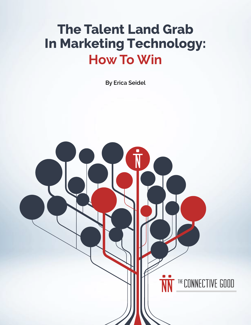# **The Talent Land Grab In Marketing Technology: How To Win**

**By Erica Seidel**

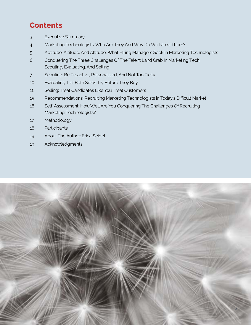# **Contents**

- [3 Executive Summary](#page-2-0)
- [4 Marketing Technologists: Who Are They And Why Do We Need Them?](#page-3-0)
- 5 [Aptitude, Altitude, And Attitude: What Hiring Managers Seek In Marketing Technologist](#page-4-0)s
- 6 Conquering The [Three Challenges Of The Talent Land Grab In Marketing Tech:](#page-5-0)  [Scouting, Evaluating, And Selling](#page-5-0)
- [7 Scouting: Be Proactive, Personalized, And Not Too Pick](#page-6-0)y
- [10 Evaluating: Let Both Sides Try Before They Buy](#page-9-0)
- [11 Selling: Treat Candidates Like You Treat Customers](#page-10-0)
- [15 Recommendations: Recruiting Marketing Technologists in Today's Difficult Market](#page-14-0)
- [16 Self-Assessment: How Well Are You Conquering The Challenges Of Recruiting](#page-15-0)  [Marketing Technologists?](#page-15-0)
- [17 Methodology](#page-16-0)
- [18 Participants](#page-17-0)
- [19 About The Author: Erica Seidel](#page-18-0)
- [19 Acknowledgments](#page-18-0)

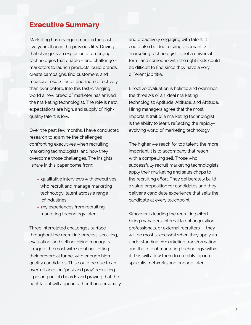### <span id="page-2-0"></span>**Executive Summary**

Marketing has changed more in the past five years than in the previous fifty. Driving that change is an explosion of emerging technologies that enable – and challenge marketers to launch products, build brands, create campaigns, find customers, and measure results faster and more effectively than ever before. Into this fast-changing world a new breed of marketer has arrived: the marketing technologist. The role is new, expectations are high, and supply of highquality talent is low.

Over the past few months, I have conducted research to examine the challenges confronting executives when recruiting marketing technologists, and how they overcome those challenges. The insights I share in this paper come from:

- qualitative interviews with executives who recruit and manage marketing technology talent across a range of industries
- my experiences from recruiting marketing technology talent

Three interrelated challenges surface throughout the recruiting process: scouting, evaluating, and selling. Hiring managers struggle the most with scouting – filling their proverbial funnel with enough highquality candidates. This could be due to an over-reliance on "post and pray" recruiting – posting on job boards and praying that the right talent will appear, rather than personally and proactively engaging with talent. It could also be due to simple semantics — 'marketing technologist' is not a universal term, and someone with the right skills could be difficult to find since they have a very different job title.

Effective evaluation is holistic and examines the three A's of an ideal marketing technologist: Aptitude, Altitude, and Attitude. Hiring managers agree that the most important trait of a marketing technologist is the ability to learn, reflecting the rapidlyevolving world of marketing technology.

The higher we reach for top talent, the more important it is to accompany that reach with a compelling sell. Those who successfully recruit marketing technologists apply their marketing and sales chops to the recruiting effort. They deliberately build a value proposition for candidates and they deliver a candidate experience that sells the candidate at every touchpoint.

Whoever is leading the recruiting effort hiring managers, internal talent acquisition professionals, or external recruiters — they will be most successful when they apply an understanding of marketing transformation and the role of marketing technology within it. This will allow them to credibly tap into specialist networks and engage talent.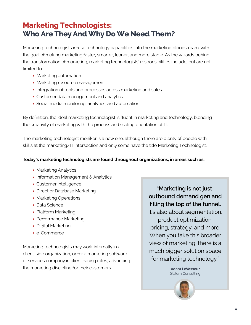## <span id="page-3-0"></span>**Marketing Technologists: Who Are They And Why Do We Need Them?**

Marketing technologists infuse technology capabilities into the marketing bloodstream, with the goal of making marketing faster, smarter, leaner, and more stable. As the wizards behind the transformation of marketing, marketing technologists' responsibilities include, but are not limited to:

- Marketing automation
- Marketing resource management
- Integration of tools and processes across marketing and sales
- Customer data management and analytics
- Social media monitoring, analytics, and automation

By definition, the ideal marketing technologist is fluent in marketing and technology, blending the creativity of marketing with the process and scaling orientation of IT.

The marketing technologist moniker is a new one, although there are plenty of people with skills at the marketing/IT intersection and only some have the title Marketing Technologist.

#### **Today's marketing technologists are found throughout organizations, in areas such as:**

- Marketing Analytics
- Information Management & Analytics
- Customer Intelligence
- Direct or Database Marketing
- Marketing Operations
- Data Science
- Platform Marketing
- Performance Marketing
- Digital Marketing
- e-Commerce

Marketing technologists may work internally in a client-side organization, or for a marketing software or services company in client-facing roles, advancing the marketing discipline for their customers.

**"Marketing is not just outbound demand gen and filling the top of the funnel.** It's also about segmentation, product optimization, pricing, strategy, and more. When you take this broader view of marketing, there is a much bigger solution space for marketing technology."

> **Adam LeVasseur** Slalom Consulting

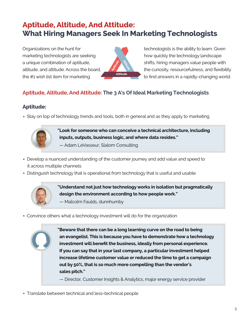# <span id="page-4-0"></span>**Aptitude, Altitude, And Attitude: What Hiring Managers Seek In Marketing Technologists**

Organizations on the hunt for marketing technologists are seeking a unique combination of aptitude, altitude, and attitude. Across the board, the #1 wish list item for marketing



technologists is the ability to learn. Given how quickly the technology landscape shifts, hiring managers value people with the curiosity, resourcefulness, and flexibility to find answers in a rapidly-changing world.

### **Aptitude, Altitude, And Attitude: The 3 A's Of Ideal Marketing Technologists**

### **Aptitude:**

• Stay on top of technology trends and tools, both in general and as they apply to marketing



**"Look for someone who can conceive a technical architecture, including inputs, outputs, business logic, and where data resides."** 

— Adam LeVasseur, Slalom Consulting

- Develop a nuanced understanding of the customer journey and add value and speed to it across multiple channels
- Distinguish technology that is operational from technology that is useful and usable



**"Understand not just how technology works in isolation but pragmatically design the environment according to how people work."** 

- Malcolm Faulds, dunnhumby
- Convince others what a technology investment will do for the organization

**"Beware that there can be a long learning curve on the road to being an evangelist. This is because you have to demonstrate how a technology investment will benefit the business, ideally from personal experience. If you can say that in your last company, a particular investment helped increase lifetime customer value or reduced the time to get a campaign out by 50%, that is so much more compelling than the vendor's sales pitch."** 

— Director, Customer Insights & Analytics, major energy service provider

• Translate between technical and less-technical people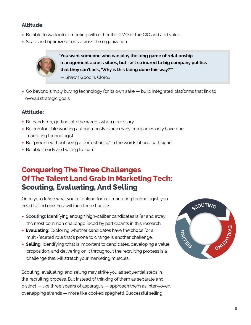#### <span id="page-5-0"></span>**Altitude:**

- Be able to walk into a meeting with either the CMO or the CIO and add value
- Scale and optimize efforts across the organization

**"You want someone who can play the long game of relationship management across siloes, but isn't so inured to big company politics that they can't ask, 'Why is this being done this way?'"** 

— Shawn Goodin, Clorox

• Go beyond simply buying technology for its own sake — build integrated platforms that link to overall strategic goals

#### **Attitude:**

- Be hands-on, getting into the weeds when necessary
- Be comfortable working autonomously, since many companies only have one marketing technologist
- Be "precise without being a perfectionist," in the words of one participant
- Be able, ready and willing to learn

### **Conquering The Three Challenges Of The Talent Land Grab In Marketing Tech: Scouting, Evaluating, And Selling**

Once you define what you're looking for in a marketing technologist, you need to find one. You will face three hurdles:

- **Scouting:** Identifying enough high-caliber candidates is far and away the most common challenge faced by participants in this research.
- **Evaluating:** Exploring whether candidates have the chops for a multi-faceted role that's prone to change is another challenge.
- **Selling:** Identifying what is important to candidates, developing a value proposition, and delivering on it throughout the recruiting process is a challenge that will stretch your marketing muscles.

Scouting, evaluating, and selling may strike you as sequential steps in the recruiting process. But instead of thinking of them as separate and distinct — like three spears of asparagus — approach them as interwoven, overlapping strands — more like cooked spaghetti. Successful selling

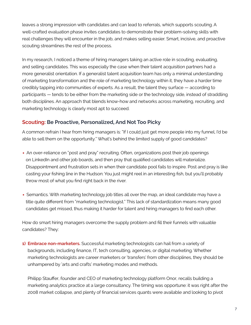<span id="page-6-0"></span>leaves a strong impression with candidates and can lead to referrals, which supports scouting. A well-crafted evaluation phase invites candidates to demonstrate their problem-solving skills with real challenges they will encounter in the job, and makes selling easier. Smart, incisive, and proactive scouting streamlines the rest of the process.

In my research, I noticed a theme of hiring managers taking an active role in scouting, evaluating, and selling candidates. This was especially the case when their talent acquisition partners had a more generalist orientation. If a generalist talent acquisition team has only a minimal understanding of marketing transformation and the role of marketing technology within it, they have a harder time credibly tapping into communities of experts. As a result, the talent they surface — according to participants — tends to be either from the marketing side or the technology side, instead of straddling both disciplines. An approach that blends know-how and networks across marketing, recruiting, and marketing technology is clearly most apt to succeed.

#### **Scouting: Be Proactive, Personalized, And Not Too Picky**

A common refrain I hear from hiring managers is: "If I could just get more people into my funnel, I'd be able to sell them on the opportunity." What's behind the limited supply of good candidates?

- An over-reliance on "post and pray" recruiting. Often, organizations post their job openings on LinkedIn and other job boards, and then pray that qualified candidates will materialize. Disappointment and frustration sets in when their candidate pool fails to inspire. Post and pray is like casting your fishing line in the Hudson: You just might reel in an interesting fish, but you'll probably throw most of what you find right back in the river.
- Semantics. With marketing technology job titles all over the map, an ideal candidate may have a title quite different from "marketing technologist." This lack of standardization means many good candidates get missed, thus making it harder for talent and hiring managers to find each other.

How do smart hiring managers overcome the supply problem and fill their funnels with valuable candidates? They:

**1) Embrace non-marketers.** Successful marketing technologists can hail from a variety of backgrounds, including finance, IT, tech consulting, agencies, or digital marketing. Whether marketing technologists are career marketers or 'transfers' from other disciplines, they should be unhampered by 'arts and crafts' marketing modes and methods.

Philipp Stauffer, founder and CEO of marketing technology platform Onor, recalls building a marketing analytics practice at a large consultancy. The timing was opportune: it was right after the 2008 market collapse, and plenty of financial services quants were available and looking to pivot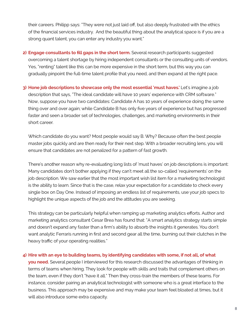their careers. Philipp says: "They were not just laid off, but also deeply frustrated with the ethics of the financial services industry. And the beautiful thing about the analytical space is if you are a strong quant talent, you can enter any industry you want."

- **2) Engage consultants to fill gaps in the short term.** Several research participants suggested overcoming a talent shortage by hiring independent consultants or the consulting units of vendors. Yes, "renting" talent like this can be more expensive in the short term, but this way you can gradually pinpoint the full-time talent profile that you need, and then expand at the right pace.
- **3) Hone job descriptions to showcase only the most essential 'must haves.'** Let's imagine a job description that says, "The ideal candidate will have 10 years' experience with CRM software." Now, suppose you have two candidates: Candidate A has 10 years of experience doing the same thing over and over again; while Candidate B has only five years of experience but has progressed faster and seen a broader set of technologies, challenges, and marketing environments in their short career.

Which candidate do you want? Most people would say B. Why? Because often the best people master jobs quickly and are then ready for their next step. With a broader recruiting lens, you will ensure that candidates are not penalized for a pattern of fast growth.

There's another reason why re-evaluating long lists of 'must haves' on job descriptions is important: Many candidates don't bother applying if they can't meet all the so-called 'requirements' on the job description. We saw earlier that the most important wish list item for a marketing technologist is the ability to learn. Since that is the case, relax your expectation for a candidate to check every single box on Day One. Instead of imposing an endless list of requirements, use your job specs to highlight the unique aspects of the job and the attitudes you are seeking.

This strategy can be particularly helpful when ramping up marketing analytics efforts. Author and marketing analytics consultant Cesar Brea has found that: "A smart analytics strategy starts simple and doesn't expand any faster than a firm's ability to absorb the insights it generates. You don't want analytic Ferraris running in first and second gear all the time, burning out their clutches in the heavy traffic of your operating realities."

#### **4) Hire with an eye to building teams, by identifying candidates with some, if not all, of what**

**you need.** Several people I interviewed for this research discussed the advantages of thinking in terms of teams when hiring. They look for people with skills and traits that complement others on the team, even if they don't "have it all." Then they cross-train the members of these teams. For instance, consider pairing an analytical technologist with someone who is a great interface to the business. This approach may be expensive and may make your team feel bloated at times, but it will also introduce some extra capacity.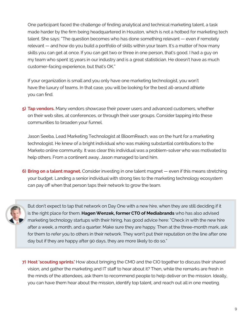One participant faced the challenge of finding analytical and technical marketing talent, a task made harder by the firm being headquartered in Houston, which is not a hotbed for marketing tech talent. She says: "The question becomes who has done something relevant — even if remotely relevant — and how do you build a portfolio of skills within your team. It's a matter of how many skills you can get at once. If you can get two or three in one person, that's good. I had a guy on my team who spent 15 years in our industry and is a great statistician. He doesn't have as much customer-facing experience, but that's OK."

If your organization is small and you only have one marketing technologist, you won't have the luxury of teams. In that case, you will be looking for the best all-around athlete you can find.

**5) Tap vendors.** Many vendors showcase their power users and advanced customers, whether on their web sites, at conferences, or through their user groups. Consider tapping into these communities to broaden your funnel.

Jason Seeba, Lead Marketing Technologist at BloomReach, was on the hunt for a marketing technologist. He knew of a bright individual who was making substantial contributions to the Marketo online community. It was clear this individual was a problem-solver who was motivated to help others. From a continent away, Jason managed to land him.

**6) Bring on a talent magnet.** Consider investing in one talent magnet — even if this means stretching your budget. Landing a senior individual with strong ties to the marketing technology ecosystem can pay off when that person taps their network to grow the team.



But don't expect to tap that network on Day One with a new hire, when they are still deciding if it is the right place for them. **Hagen Wenzek, former CTO of Mediabrands** who has also advised marketing technology startups with their hiring, has good advice here: "Check in with the new hire after a week, a month, and a quarter. Make sure they are happy. Then at the three-month mark, ask for them to refer you to others in their network. They won't put their reputation on the line after one day but if they are happy after 90 days, they are more likely to do so."

**7) Host 'scouting sprints.'** How about bringing the CMO and the CIO together to discuss their shared vision, and gather the marketing and IT staff to hear about it? Then, while the remarks are fresh in the minds of the attendees, ask them to recommend people to help deliver on the mission. Ideally, you can have them hear about the mission, identify top talent, and reach out all in one meeting.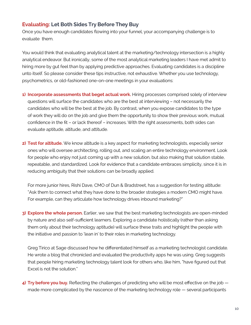#### <span id="page-9-0"></span>**Evaluating: Let Both Sides Try Before They Buy**

Once you have enough candidates flowing into your funnel, your accompanying challenge is to evaluate them.

You would think that evaluating analytical talent at the marketing/technology intersection is a highly analytical endeavor. But ironically, some of the most analytical marketing leaders I have met admit to hiring more by gut feel than by applying predictive approaches. Evaluating candidates is a discipline unto itself. So please consider these tips instructive, not exhaustive. Whether you use technology, psychometrics, or old-fashioned one-on-one meetings in your evaluations:

- **1) Incorporate assessments that beget actual work.** Hiring processes comprised solely of interview questions will surface the candidates who are the best at interviewing – not necessarily the candidates who will be the best at the job. By contrast, when you expose candidates to the type of work they will do on the job and give them the opportunity to show their previous work, mutual confidence in the fit – or lack thereof – increases. With the right assessments, both sides can evaluate aptitude, altitude, and attitude.
- **2) Test for altitude.** We know altitude is a key aspect for marketing technologists, especially senior ones who will oversee architecting, rolling out, and scaling an entire technology environment. Look for people who enjoy not just coming up with a new solution, but also making that solution stable, repeatable, and standardized. Look for evidence that a candidate embraces simplicity, since it is in reducing ambiguity that their solutions can be broadly applied.

For more junior hires, Rishi Dave, CMO of Dun & Bradstreet, has a suggestion for testing altitude: "Ask them to connect what they have done to the broader strategies a modern CMO might have. For example, can they articulate how technology drives inbound marketing?"

**3) Explore the whole person.** Earlier, we saw that the best marketing technologists are open-minded by nature and also self-sufficient learners. Exploring a candidate holistically (rather than asking them only about their technology aptitude) will surface these traits and highlight the people with the initiative and passion to 'lean in' to their roles in marketing technology.

Greg Tirico at Sage discussed how he differentiated himself as a marketing technologist candidate. He wrote a blog that chronicled and evaluated the productivity apps he was using. Greg suggests that people hiring marketing technology talent look for others who, like him, "have figured out that Excel is not the solution."

**4) Try before you buy.** Reflecting the challenges of predicting who will be most effective on the job made more complicated by the nascence of the marketing technology role — several participants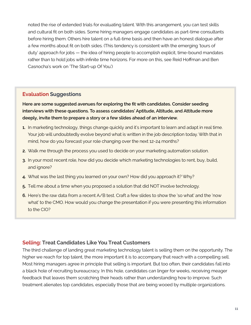<span id="page-10-0"></span>noted the rise of extended trials for evaluating talent. With this arrangement, you can test skills and cultural fit on both sides. Some hiring managers engage candidates as part-time consultants before hiring them. Others hire talent on a full-time basis and then have an honest dialogue after a few months about fit on both sides. (This tendency is consistent with the emerging 'tours of duty' approach for jobs — the idea of hiring people to accomplish explicit, time-bound mandates rather than to hold jobs with infinite time horizons. For more on this, see Reid Hoffman and Ben Casnocha's work on 'The Start-up Of You.')

#### **Evaluation Suggestions**

**Here are some suggested avenues for exploring the fit with candidates. Consider seeding interviews with these questions. To assess candidates' Aptitude, Altitude, and Attitude more deeply, invite them to prepare a story or a few slides ahead of an interview.**

- **1.** In marketing technology, things change quickly and it's important to learn and adapt in real time. Your job will undoubtedly evolve beyond what is written in the job description today. With that in mind, how do you forecast your role changing over the next 12-24 months?
- **2.** Walk me through the process you used to decide on your marketing automation solution.
- **3.** In your most recent role, how did you decide which marketing technologies to rent, buy, build, and ignore?
- **4.** What was the last thing you learned on your own? How did you approach it? Why?
- **5.** Tell me about a time when you proposed a solution that did NOT involve technology.
- **6.** Here's the raw data from a recent A/B test. Craft a few slides to show the 'so what' and the 'now what' to the CMO. How would you change the presentation if you were presenting this information to the CIO?

#### **Selling: Treat Candidates Like You Treat Customers**

The third challenge of landing great marketing technology talent is selling them on the opportunity. The higher we reach for top talent, the more important it is to accompany that reach with a compelling sell. Most hiring managers agree in principle that selling is important. But too often, their candidates fall into a black hole of recruiting bureaucracy. In this hole, candidates can linger for weeks, receiving meager feedback that leaves them scratching their heads rather than understanding how to improve. Such treatment alienates top candidates, especially those that are being wooed by multiple organizations.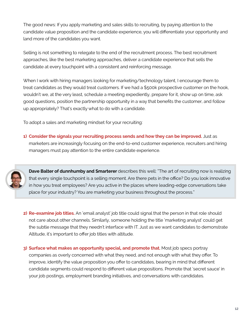The good news: If you apply marketing and sales skills to recruiting, by paying attention to the candidate value proposition and the candidate experience, you will differentiate your opportunity and land more of the candidates you want.

Selling is not something to relegate to the end of the recruitment process. The best recruitment approaches, like the best marketing approaches, deliver a candidate experience that sells the candidate at every touchpoint with a consistent and reinforcing message.

When I work with hiring managers looking for marketing/technology talent, I encourage them to treat candidates as they would treat customers. If we had a \$500k prospective customer on the hook, wouldn't we, at the very least, schedule a meeting expediently, prepare for it, show up on time, ask good questions, position the partnership opportunity in a way that benefits the customer, and follow up appropriately? That's exactly what to do with a candidate.

To adopt a sales and marketing mindset for your recruiting:

**1) Consider the signals your recruiting process sends and how they can be improved.** Just as marketers are increasingly focusing on the end-to-end customer experience, recruiters and hiring managers must pay attention to the entire candidate experience.



**Dave Balter of dunnhumby and Smarterer** describes this well: "The art of recruiting now is realizing that every single touchpoint is a selling moment. Are there pets in the office? Do you look innovative in how you treat employees? Are you active in the places where leading-edge conversations take place for your industry? You are marketing your business throughout the process."

**2) Re-examine job titles.** An 'email analyst' job title could signal that the person in that role should not care about other channels. Similarly, someone holding the title 'marketing analyst' could get the subtle message that they needn't interface with IT. Just as we want candidates to demonstrate Altitude, it's important to offer job titles with altitude.

**3) Surface what makes an opportunity special, and promote that.** Most job specs portray companies as overly concerned with what they need, and not enough with what they offer. To improve, identify the value proposition you offer to candidates, bearing in mind that different candidate segments could respond to different value propositions. Promote that 'secret sauce' in your job postings, employment branding initiatives, and conversations with candidates.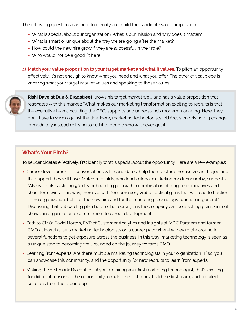The following questions can help to identify and build the candidate value proposition:

- What is special about our organization? What is our mission and why does it matter?
- What is smart or unique about the way we are going after the market?
- How could the new hire grow if they are successful in their role?
- Who would not be a good fit here?

**4) Match your value proposition to your target market and what it values.** To pitch an opportunity effectively, it's not enough to know what you need and what you offer. The other critical piece is knowing what your target market values and speaking to those values.



**Rishi Dave at Dun & Bradstreet** knows his target market well, and has a value proposition that resonates with this market: "What makes our marketing transformation exciting to recruits is that the executive team, including the CEO, supports and understands modern marketing. Here, they don't have to swim against the tide. Here, marketing technologists will focus on driving big change immediately instead of trying to sell it to people who will never get it."

#### **What's Your Pitch?**

To sell candidates effectively, first identify what is special about the opportunity. Here are a few examples:

- Career development: In conversations with candidates, help them picture themselves in the job and the support they will have. Malcolm Faulds, who leads global marketing for dunnhumby, suggests, "Always make a strong 90-day onboarding plan with a combination of long-term initiatives and short-term wins. This way, there's a path for some very visible tactical gains that will lead to traction in the organization, both for the new hire and for the marketing technology function in general." Discussing that onboarding plan before the recruit joins the company can be a selling point, since it shows an organizational commitment to career development.
- Path to CMO: David Norton, EVP of Customer Analytics and Insights at MDC Partners and former CMO at Harrah's, sets marketing technologists on a career path whereby they rotate around in several functions to get exposure across the business. In this way, marketing technology is seen as a unique stop to becoming well-rounded on the journey towards CMO.
- Learning from experts: Are there multiple marketing technologists in your organization? If so, you can showcase this community, and the opportunity for new recruits to learn from experts.
- Making the first mark: By contrast, if you are hiring your first marketing technologist, that's exciting for different reasons – the opportunity to make the first mark, build the first team, and architect solutions from the ground up.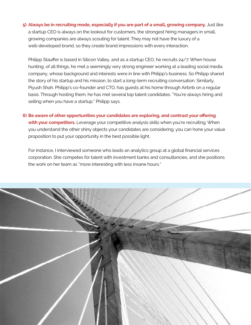**5) Always be in recruiting mode, especially if you are part of a small, growing company.** Just like a startup CEO is always on the lookout for customers, the strongest hiring managers in small, growing companies are always scouting for talent. They may not have the luxury of a well-developed brand, so they create brand impressions with every interaction.

Philipp Stauffer is based in Silicon Valley, and as a startup CEO, he recruits 24/7. When house hunting, of all things, he met a seemingly very strong engineer working at a leading social media company, whose background and interests were in line with Philipp's business. So Philipp shared the story of his startup and his mission, to start a long-term recruiting conversation. Similarly, Piyush Shah, Philipp's co-founder and CTO, has guests at his home through Airbnb on a regular basis. Through hosting them, he has met several top talent candidates. "You're always hiring and selling when you have a startup," Philipp says.

**6) Be aware of other opportunities your candidates are exploring, and contrast your offering**  with your competitors. Leverage your competitive analysis skills when you're recruiting. When you understand the other shiny objects your candidates are considering, you can hone your value proposition to put your opportunity in the best possible light.

For instance, I interviewed someone who leads an analytics group at a global financial services corporation. She competes for talent with investment banks and consultancies, and she positions the work on her team as "more interesting with less insane hours."

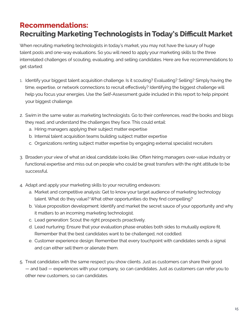### <span id="page-14-0"></span>**Recommendations: Recruiting Marketing Technologists in Today's Difficult Market**

When recruiting marketing technologists in today's market, you may not have the luxury of huge talent pools and one-way evaluations. So you will need to apply your marketing skills to the three interrelated challenges of scouting, evaluating, and selling candidates. Here are five recommendations to get started:

- 1. Identify your biggest talent acquisition challenge. Is it scouting? Evaluating? Selling? Simply having the time, expertise, or network connections to recruit effectively? Identifying the biggest challenge will help you focus your energies. Use the Self-Assessment guide included in this report to help pinpoint your biggest challenge.
- 2. Swim in the same water as marketing technologists. Go to their conferences, read the books and blogs they read, and understand the challenges they face. This could entail:
	- a. Hiring managers applying their subject matter expertise
	- b. Internal talent acquisition teams building subject matter expertise
	- c. Organizations renting subject matter expertise by engaging external specialist recruiters
- 3. Broaden your view of what an ideal candidate looks like. Often hiring managers over-value industry or functional expertise and miss out on people who could be great transfers with the right attitude to be successful.
- 4. Adapt and apply your marketing skills to your recruiting endeavors:
	- a. Market and competitive analysis: Get to know your target audience of marketing technology talent. What do they value? What other opportunities do they find compelling?
	- b. Value proposition development: Identify and market the secret sauce of your opportunity and why it matters to an incoming marketing technologist.
	- c. Lead generation: Scout the right prospects proactively.
	- d. Lead nurturing: Ensure that your evaluation phase enables both sides to mutually explore fit. Remember that the best candidates want to be challenged, not coddled.
	- e. Customer experience design: Remember that every touchpoint with candidates sends a signal and can either sell them or alienate them.
- 5. Treat candidates with the same respect you show clients. Just as customers can share their good — and bad — experiences with your company, so can candidates. Just as customers can refer you to other new customers, so can candidates.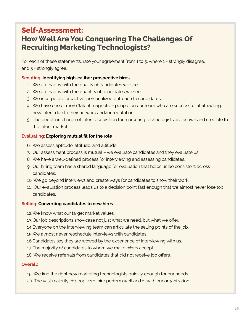### <span id="page-15-0"></span>**Self-Assessment: How Well Are You Conquering The Challenges Of Recruiting Marketing Technologists?**

For each of these statements, rate your agreement from 1 to 5, where 1 = strongly disagree, and 5 = strongly agree.

#### **Scouting: Identifying high-caliber prospective hires**

- 1. We are happy with the quality of candidates we see.
- 2. We are happy with the quantity of candidates we see.
- 3. We incorporate proactive, personalized outreach to candidates.
- 4. We have one or more 'talent magnets' people on our team who are successful at attracting new talent due to their network and/or reputation.
- 5. The people in charge of talent acquisition for marketing technologists are known and credible to the talent market.

#### **Evaluating: Exploring mutual fit for the role**

- 6. We assess aptitude, attitude, and altitude.
- 7. Our assessment process is mutual we evaluate candidates and they evaluate us.
- 8. We have a well-defined process for interviewing and assessing candidates.
- 9. Our hiring team has a shared language for evaluation that helps us be consistent across candidates.
- 10. We go beyond interviews and create ways for candidates to show their work.
- 11. Our evaluation process leads us to a decision point fast enough that we almost never lose top candidates.

#### **Selling: Converting candidates to new hires**

- 12.We know what our target market values.
- 13.Our job descriptions showcase not just what we need, but what we offer.
- 14.Everyone on the interviewing team can articulate the selling points of the job.
- 15.We almost never reschedule interviews with candidates.
- 16.Candidates say they are wowed by the experience of interviewing with us.
- 17. The majority of candidates to whom we make offers accept.
- 18. We receive referrals from candidates that did not receive job offers.

#### **Overall:**

- 19. We find the right new marketing technologists quickly enough for our needs.
- 20. The vast majority of people we hire perform well and fit with our organization.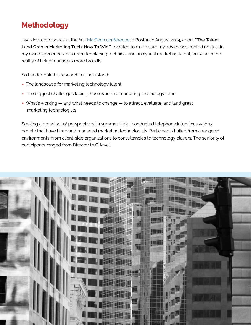# <span id="page-16-0"></span>**Methodology**

I was invited to speak at the first [MarTech conference](http://www.martechconf.com/) in Boston in August 2014, about **"The Talent Land Grab In Marketing Tech: How To Win."** I wanted to make sure my advice was rooted not just in my own experiences as a recruiter placing technical and analytical marketing talent, but also in the reality of hiring managers more broadly.

So I undertook this research to understand:

- The landscape for marketing technology talent
- The biggest challenges facing those who hire marketing technology talent
- What's working and what needs to change to attract, evaluate, and land great marketing technologists

Seeking a broad set of perspectives, in summer 2014 I conducted telephone interviews with 13 people that have hired and managed marketing technologists. Participants hailed from a range of environments, from client-side organizations to consultancies to technology players. The seniority of participants ranged from Director to C-level.

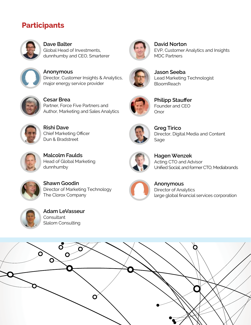### <span id="page-17-0"></span>**Participants**



**Dave Balter** Global Head of Investments, dunnhumby and CEO, Smarterer



**Anonymous** Director, Customer Insights & Analytics, major energy service provider



**Cesar Brea** Partner, Force Five Partners and Author, Marketing and Sales Analytics



**Rishi Dave** Chief Marketing Officer Dun & Bradstreet



**Malcolm Faulds** Head of Global Marketing dunnhumby



**Shawn Goodin** Director of Marketing Technology The Clorox Company



**David Norton** EVP, Customer Analytics and Insights MDC Partners



**Jason Seeba** Lead Marketing Technologist **BloomReach** 



**Philipp Stauffer** Founder and CEO Onor



**Greg Tirico** Director, Digital Media and Content Sage



**Hagen Wenzek** Acting CTO and Advisor Unified Social; and former CTO, Mediabrands



**Anonymous** Director of Analytics large global financial services corporation



**Adam LeVasseur Consultant** Slalom Consulting

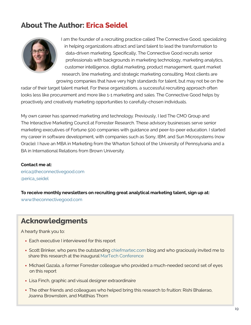# <span id="page-18-0"></span>**About The Author: Erica Seidel**



I am the founder of a recruiting practice called The Connective Good, specializing in helping organizations attract and land talent to lead the transformation to data-driven marketing. Specifically, The Connective Good recruits senior professionals with backgrounds in marketing technology, marketing analytics, customer intelligence, digital marketing, product management, quant market research, line marketing, and strategic marketing consulting. Most clients are growing companies that have very high standards for talent, but may not be on the

radar of their target talent market. For these organizations, a successful recruiting approach often looks less like procurement and more like 1-1 marketing and sales. The Connective Good helps by proactively and creatively marketing opportunities to carefully-chosen individuals.

My own career has spanned marketing and technology. Previously, I led The CMO Group and The Interactive Marketing Council at Forrester Research. These advisory businesses serve senior marketing executives of Fortune 500 companies with guidance and peer-to-peer education. I started my career in software development, with companies such as Sony, IBM, and Sun Microsystems (now Oracle). I have an MBA in Marketing from the Wharton School of the University of Pennsylvania and a BA in International Relations from Brown University.

#### **Contact me at:**

[erica@theconnectivegood.com](mailto:erica@theconnectivegood.com) [@erica\\_seidel](https://twitter.com/erica_seidel)

**To receive monthly newsletters on recruiting great analytical marketing talent, sign up at:** 

[www.theconnectivegood.com](http://www.theconnectivegood.com ) 

### **Acknowledgments**

A hearty thank you to:

- Each executive I interviewed for this report
- Scott Brinker, who pens the outstanding [chiefmartec.com](http://chiefmartec.com) blog and who graciously invited me to share this research at the inaugural [MarTech Conference](http://www.martechconf.com/)
- Michael Gazala, a former Forrester colleague who provided a much-needed second set of eyes on this report
- Lisa Finch, graphic and visual designer extraordinaire
- The other friends and colleagues who helped bring this research to fruition: Rishi Bhalerao, Joanna Brownstein, and Matthias Thorn